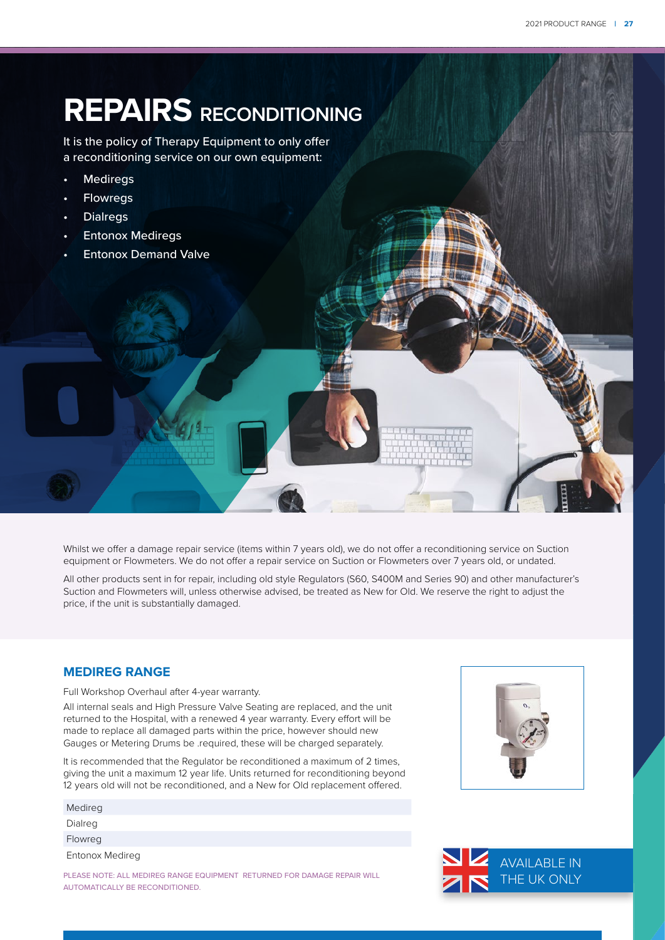# **REPAIRS RECONDITIONING**

It is the policy of Therapy Equipment to only offer a reconditioning service on our own equipment:

- **Mediregs**
- **Flowregs**
- **Dialregs**
- **Entonox Mediregs**
- Entonox Demand Valve

Whilst we offer a damage repair service (items within 7 years old), we do not offer a reconditioning service on Suction equipment or Flowmeters. We do not offer a repair service on Suction or Flowmeters over 7 years old, or undated.

All other products sent in for repair, including old style Regulators (S60, S400M and Series 90) and other manufacturer's Suction and Flowmeters will, unless otherwise advised, be treated as New for Old. We reserve the right to adjust the price, if the unit is substantially damaged.

### **MEDIREG RANGE**

Full Workshop Overhaul after 4-year warranty.

All internal seals and High Pressure Valve Seating are replaced, and the unit returned to the Hospital, with a renewed 4 year warranty. Every effort will be made to replace all damaged parts within the price, however should new Gauges or Metering Drums be .required, these will be charged separately.

It is recommended that the Regulator be reconditioned a maximum of 2 times, giving the unit a maximum 12 year life. Units returned for reconditioning beyond 12 years old will not be reconditioned, and a New for Old replacement offered.

| Medireg         |  |
|-----------------|--|
| Dialreg         |  |
| Flowreg         |  |
| Entonox Medireg |  |
|                 |  |

PLEASE NOTE: ALL MEDIREG RANGE EQUIPMENT RETURNED FOR DAMAGE REPAIR WILL AUTOMATICALLY BE RECONDITIONED.